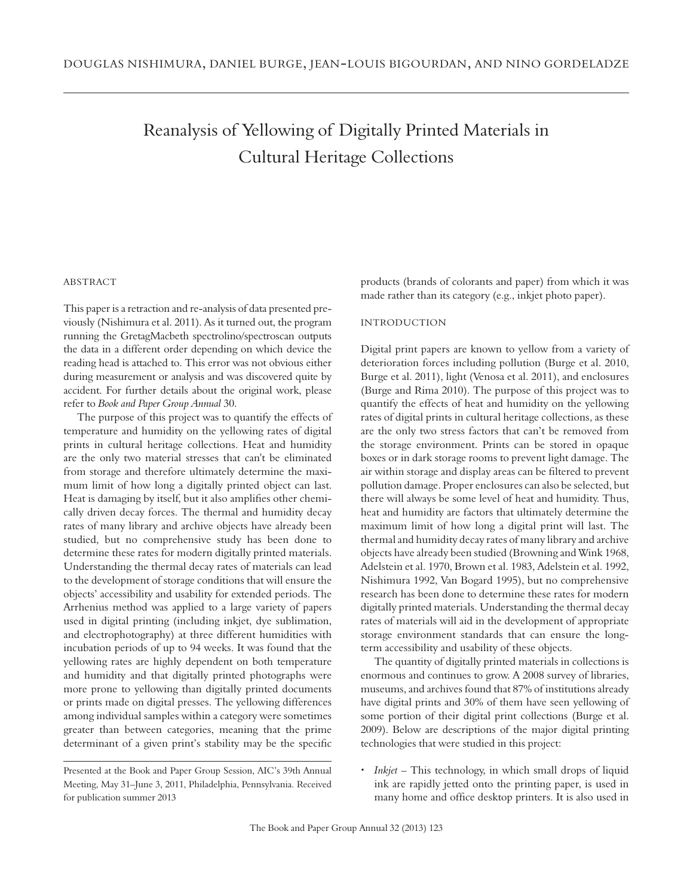# Reanalysis of Yellowing of Digitally Printed Materials in Cultural Heritage Collections

## **ABSTRACT**

This paper is a retraction and re-analysis of data presented previously (Nishimura et al. 2011). As it turned out, the program running the GretagMacbeth spectrolino/spectroscan outputs the data in a different order depending on which device the reading head is attached to. This error was not obvious either during measurement or analysis and was discovered quite by accident. For further details about the original work, please refer to *Book and Paper Group Annual* 30.

The purpose of this project was to quantify the effects of temperature and humidity on the yellowing rates of digital prints in cultural heritage collections. Heat and humidity are the only two material stresses that can't be eliminated from storage and therefore ultimately determine the maximum limit of how long a digitally printed object can last. Heat is damaging by itself, but it also amplifies other chemically driven decay forces. The thermal and humidity decay rates of many library and archive objects have already been studied, but no comprehensive study has been done to determine these rates for modern digitally printed materials. Understanding the thermal decay rates of materials can lead to the development of storage conditions that will ensure the objects' accessibility and usability for extended periods. The Arrhenius method was applied to a large variety of papers used in digital printing (including inkjet, dye sublimation, and electrophotography) at three different humidities with incubation periods of up to 94 weeks. It was found that the yellowing rates are highly dependent on both temperature and humidity and that digitally printed photographs were more prone to yellowing than digitally printed documents or prints made on digital presses. The yellowing differences among individual samples within a category were sometimes greater than between categories, meaning that the prime determinant of a given print's stability may be the specific products (brands of colorants and paper) from which it was made rather than its category (e.g., inkjet photo paper).

### **INTRODUCTION**

Digital print papers are known to yellow from a variety of deterioration forces including pollution (Burge et al. 2010, Burge et al. 2011), light (Venosa et al. 2011), and enclosures (Burge and Rima 2010). The purpose of this project was to quantify the effects of heat and humidity on the yellowing rates of digital prints in cultural heritage collections, as these are the only two stress factors that can't be removed from the storage environment. Prints can be stored in opaque boxes or in dark storage rooms to prevent light damage. The air within storage and display areas can be filtered to prevent pollution damage. Proper enclosures can also be selected, but there will always be some level of heat and humidity. Thus, heat and humidity are factors that ultimately determine the maximum limit of how long a digital print will last. The thermal and humidity decay rates of many library and archive objects have already been studied (Browning and Wink 1968, Adelstein et al. 1970, Brown et al. 1983, Adelstein et al. 1992, Nishimura 1992, Van Bogard 1995), but no comprehensive research has been done to determine these rates for modern digitally printed materials. Understanding the thermal decay rates of materials will aid in the development of appropriate storage environment standards that can ensure the longterm accessibility and usability of these objects.

The quantity of digitally printed materials in collections is enormous and continues to grow. A 2008 survey of libraries, museums, and archives found that 87% of institutions already have digital prints and 30% of them have seen yellowing of some portion of their digital print collections (Burge et al. 2009). Below are descriptions of the major digital printing technologies that were studied in this project:

• *Inkjet* – This technology, in which small drops of liquid ink are rapidly jetted onto the printing paper, is used in many home and office desktop printers. It is also used in

Presented at the Book and Paper Group Session, AIC's 39th Annual Meeting, May 31–June 3, 2011, Philadelphia, Pennsylvania. Received for publication summer 2013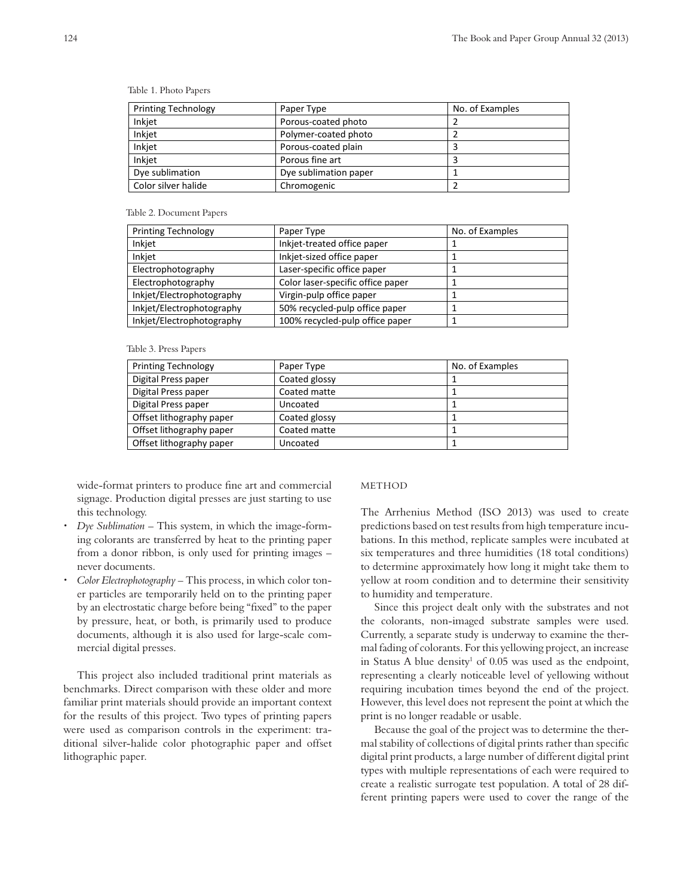| <b>Printing Technology</b> | Paper Type            | No. of Examples |
|----------------------------|-----------------------|-----------------|
| Inkjet                     | Porous-coated photo   |                 |
| Inkjet                     | Polymer-coated photo  |                 |
| Inkjet                     | Porous-coated plain   |                 |
| Inkjet                     | Porous fine art       |                 |
| Dye sublimation            | Dye sublimation paper |                 |
| Color silver halide        | Chromogenic           |                 |
|                            |                       |                 |

Table 1. Photo Papers

Table 2. Document Papers

| Paper Type                        | No. of Examples |
|-----------------------------------|-----------------|
| Inkjet-treated office paper       |                 |
| Inkjet-sized office paper         |                 |
| Laser-specific office paper       |                 |
| Color laser-specific office paper |                 |
| Virgin-pulp office paper          |                 |
| 50% recycled-pulp office paper    |                 |
| 100% recycled-pulp office paper   |                 |
|                                   |                 |

Table 3. Press Papers

| <b>Printing Technology</b> | Paper Type    | No. of Examples |
|----------------------------|---------------|-----------------|
| Digital Press paper        | Coated glossy |                 |
| Digital Press paper        | Coated matte  |                 |
| Digital Press paper        | Uncoated      |                 |
| Offset lithography paper   | Coated glossy |                 |
| Offset lithography paper   | Coated matte  |                 |
| Offset lithography paper   | Uncoated      |                 |
|                            |               |                 |

wide-format printers to produce fine art and commercial signage. Production digital presses are just starting to use this technology.

- x *Dye Sublimation* This system, in which the image-forming colorants are transferred by heat to the printing paper from a donor ribbon, is only used for printing images – never documents.
- x *Color Electrophotography* This process, in which color toner particles are temporarily held on to the printing paper by an electrostatic charge before being "fixed" to the paper by pressure, heat, or both, is primarily used to produce documents, although it is also used for large-scale commercial digital presses.

This project also included traditional print materials as benchmarks. Direct comparison with these older and more familiar print materials should provide an important context for the results of this project. Two types of printing papers were used as comparison controls in the experiment: traditional silver-halide color photographic paper and offset lithographic paper.

#### METHOD

The Arrhenius Method (ISO 2013) was used to create predictions based on test results from high temperature incubations. In this method, replicate samples were incubated at six temperatures and three humidities (18 total conditions) to determine approximately how long it might take them to yellow at room condition and to determine their sensitivity to humidity and temperature.

Since this project dealt only with the substrates and not the colorants, non-imaged substrate samples were used. Currently, a separate study is underway to examine the thermal fading of colorants. For this yellowing project, an increase in Status A blue density<sup>1</sup> of  $0.05$  was used as the endpoint, representing a clearly noticeable level of yellowing without requiring incubation times beyond the end of the project. However, this level does not represent the point at which the print is no longer readable or usable.

Because the goal of the project was to determine the thermal stability of collections of digital prints rather than specific digital print products, a large number of different digital print types with multiple representations of each were required to create a realistic surrogate test population. A total of 28 different printing papers were used to cover the range of the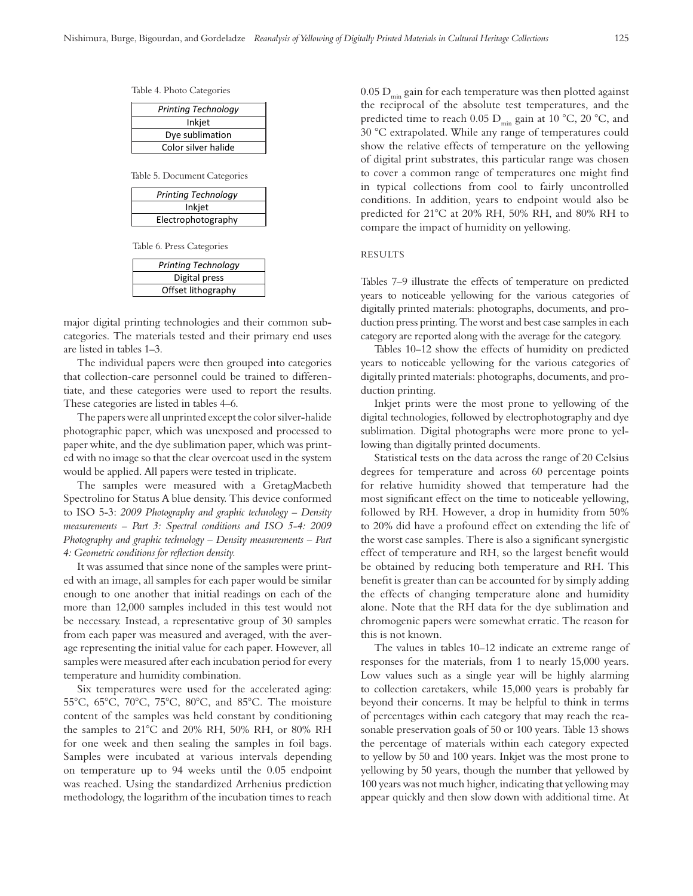Table 4. Photo Categories

| Printing Technology |
|---------------------|
| Inkjet              |
| Dye sublimation     |
| Color silver halide |

Table 5. Document Categories

| <b>Printing Technology</b> |  |  |
|----------------------------|--|--|
| Inkjet                     |  |  |
| Electrophotography         |  |  |

Table 6. Press Categories

| Printing Technology |
|---------------------|
| Digital press       |
| Offset lithography  |
|                     |

major digital printing technologies and their common subcategories. The materials tested and their primary end uses are listed in tables 1–3.

The individual papers were then grouped into categories that collection-care personnel could be trained to differentiate, and these categories were used to report the results. These categories are listed in tables 4–6.

The papers were all unprinted except the color silver-halide photographic paper, which was unexposed and processed to paper white, and the dye sublimation paper, which was printed with no image so that the clear overcoat used in the system would be applied. All papers were tested in triplicate.

The samples were measured with a GretagMacbeth Spectrolino for Status A blue density. This device conformed to ISO 5-3: *2009 Photography and graphic technology – Density measurements – Part 3: Spectral conditions and ISO 5-4: 2009 Photography and graphic technology – Density measurements – Part 4: Geometric conditions for reflection density.*

It was assumed that since none of the samples were printed with an image, all samples for each paper would be similar enough to one another that initial readings on each of the more than 12,000 samples included in this test would not be necessary. Instead, a representative group of 30 samples from each paper was measured and averaged, with the average representing the initial value for each paper. However, all samples were measured after each incubation period for every temperature and humidity combination.

Six temperatures were used for the accelerated aging: 55°C, 65°C, 70°C, 75°C, 80°C, and 85°C. The moisture content of the samples was held constant by conditioning the samples to 21°C and 20% RH, 50% RH, or 80% RH for one week and then sealing the samples in foil bags. Samples were incubated at various intervals depending on temperature up to 94 weeks until the 0.05 endpoint was reached. Using the standardized Arrhenius prediction methodology, the logarithm of the incubation times to reach  $0.05 D<sub>min</sub>$  gain for each temperature was then plotted against the reciprocal of the absolute test temperatures, and the predicted time to reach 0.05 D<sub>min</sub> gain at 10 °C, 20 °C, and 30 °C extrapolated. While any range of temperatures could show the relative effects of temperature on the yellowing of digital print substrates, this particular range was chosen to cover a common range of temperatures one might find in typical collections from cool to fairly uncontrolled conditions. In addition, years to endpoint would also be predicted for 21°C at 20% RH, 50% RH, and 80% RH to compare the impact of humidity on yellowing.

## **RESULTS**

Tables 7–9 illustrate the effects of temperature on predicted years to noticeable yellowing for the various categories of digitally printed materials: photographs, documents, and production press printing. The worst and best case samples in each category are reported along with the average for the category.

Tables 10–12 show the effects of humidity on predicted years to noticeable yellowing for the various categories of digitally printed materials: photographs, documents, and production printing.

Inkjet prints were the most prone to yellowing of the digital technologies, followed by electrophotography and dye sublimation. Digital photographs were more prone to yellowing than digitally printed documents.

Statistical tests on the data across the range of 20 Celsius degrees for temperature and across 60 percentage points for relative humidity showed that temperature had the most significant effect on the time to noticeable yellowing, followed by RH. However, a drop in humidity from 50% to 20% did have a profound effect on extending the life of the worst case samples. There is also a significant synergistic effect of temperature and RH, so the largest benefit would be obtained by reducing both temperature and RH. This benefit is greater than can be accounted for by simply adding the effects of changing temperature alone and humidity alone. Note that the RH data for the dye sublimation and chromogenic papers were somewhat erratic. The reason for this is not known.

The values in tables 10–12 indicate an extreme range of responses for the materials, from 1 to nearly 15,000 years. Low values such as a single year will be highly alarming to collection caretakers, while 15,000 years is probably far beyond their concerns. It may be helpful to think in terms of percentages within each category that may reach the reasonable preservation goals of 50 or 100 years. Table 13 shows the percentage of materials within each category expected to yellow by 50 and 100 years. Inkjet was the most prone to yellowing by 50 years, though the number that yellowed by 100 years was not much higher, indicating that yellowing may appear quickly and then slow down with additional time. At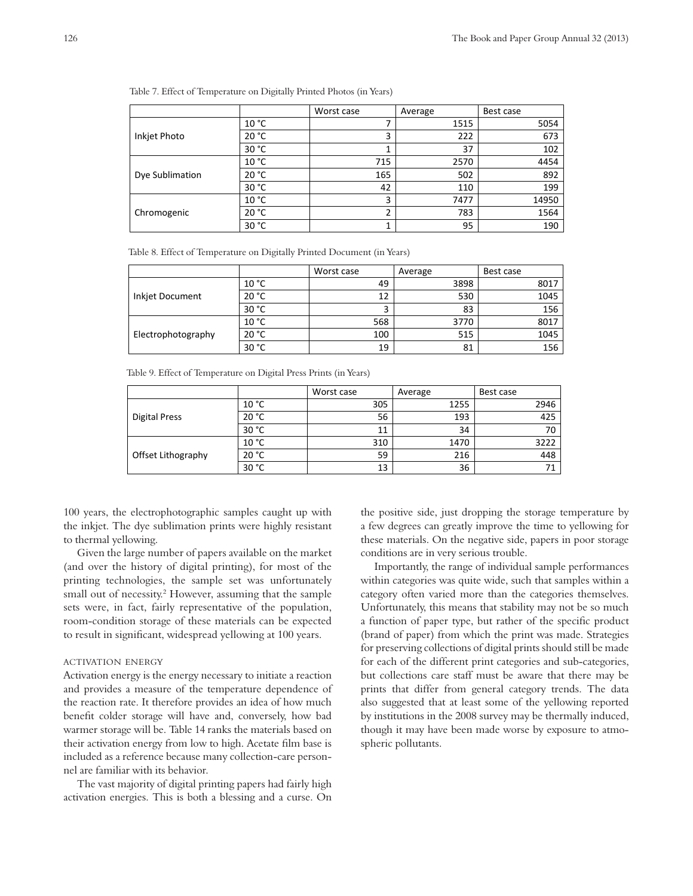|  | Table 7. Effect of Temperature on Digitally Printed Photos (in Years) |  |  |  |
|--|-----------------------------------------------------------------------|--|--|--|
|  |                                                                       |  |  |  |

|                 |       | Worst case | Average | Best case |
|-----------------|-------|------------|---------|-----------|
|                 | 10 °C | 7          | 1515    | 5054      |
| Inkjet Photo    | 20 °C | 3          | 222     | 673       |
|                 | 30 °C | ᅩ          | 37      | 102       |
|                 | 10 °C | 715        | 2570    | 4454      |
| Dye Sublimation | 20 °C | 165        | 502     | 892       |
|                 | 30 °C | 42         | 110     | 199       |
| Chromogenic     | 10 °C | 3          | 7477    | 14950     |
|                 | 20 °C | 2          | 783     | 1564      |
|                 | 30 °C | 1          | 95      | 190       |

Table 8. Effect of Temperature on Digitally Printed Document (in Years)

|                    |       | Worst case | Average | Best case |
|--------------------|-------|------------|---------|-----------|
|                    | 10 °C | 49         | 3898    | 8017      |
| Inkjet Document    | 20 °C | 12         | 530     | 1045      |
|                    | 30 °C | 3          | 83      | 156       |
| Electrophotography | 10 °C | 568        | 3770    | 8017      |
|                    | 20 °C | 100        | 515     | 1045      |
|                    | 30 °C | 19         | 81      | 156       |

Table 9. Effect of Temperature on Digital Press Prints (in Years)

|                      |       | Worst case | Average | Best case |
|----------------------|-------|------------|---------|-----------|
| <b>Digital Press</b> | 10 °C | 305        | 1255    | 2946      |
|                      | 20 °C | 56         | 193     | 425       |
|                      | 30 °C | 11         | 34      | 70        |
| Offset Lithography   | 10 °C | 310        | 1470    | 3222      |
|                      | 20 °C | 59         | 216     | 448       |
|                      | 30 °C | 13         | 36      | 71        |

100 years, the electrophotographic samples caught up with the inkjet. The dye sublimation prints were highly resistant to thermal yellowing.

Given the large number of papers available on the market (and over the history of digital printing), for most of the printing technologies, the sample set was unfortunately small out of necessity.<sup>2</sup> However, assuming that the sample sets were, in fact, fairly representative of the population, room-condition storage of these materials can be expected to result in significant, widespread yellowing at 100 years.

### activation energy

Activation energy is the energy necessary to initiate a reaction and provides a measure of the temperature dependence of the reaction rate. It therefore provides an idea of how much benefit colder storage will have and, conversely, how bad warmer storage will be. Table 14 ranks the materials based on their activation energy from low to high. Acetate film base is included as a reference because many collection-care personnel are familiar with its behavior.

The vast majority of digital printing papers had fairly high activation energies. This is both a blessing and a curse. On

the positive side, just dropping the storage temperature by a few degrees can greatly improve the time to yellowing for these materials. On the negative side, papers in poor storage conditions are in very serious trouble.

Importantly, the range of individual sample performances within categories was quite wide, such that samples within a category often varied more than the categories themselves. Unfortunately, this means that stability may not be so much a function of paper type, but rather of the specific product (brand of paper) from which the print was made. Strategies for preserving collections of digital prints should still be made for each of the different print categories and sub-categories, but collections care staff must be aware that there may be prints that differ from general category trends. The data also suggested that at least some of the yellowing reported by institutions in the 2008 survey may be thermally induced, though it may have been made worse by exposure to atmospheric pollutants.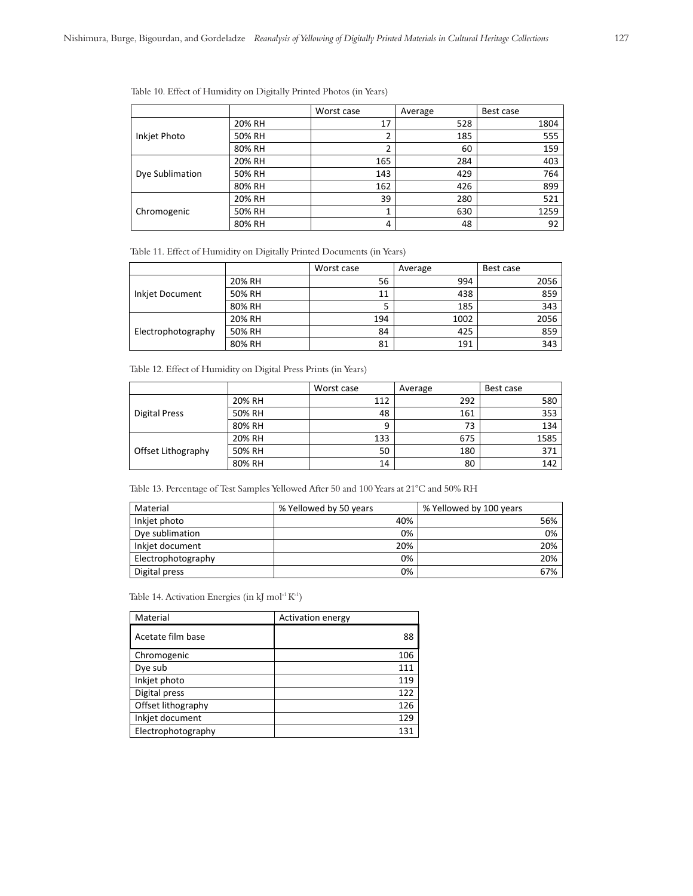Table 10. Effect of Humidity on Digitally Printed Photos (in Years)

|                 |        | Worst case | Average | Best case |
|-----------------|--------|------------|---------|-----------|
|                 | 20% RH | 17         | 528     | 1804      |
| Inkjet Photo    | 50% RH | ∍          | 185     | 555       |
|                 | 80% RH | 2          | 60      | 159       |
|                 | 20% RH | 165        | 284     | 403       |
| Dye Sublimation | 50% RH | 143        | 429     | 764       |
|                 | 80% RH | 162        | 426     | 899       |
| Chromogenic     | 20% RH | 39         | 280     | 521       |
|                 | 50% RH | 1          | 630     | 1259      |
|                 | 80% RH | 4          | 48      | 92        |

Table 11. Effect of Humidity on Digitally Printed Documents (in Years)

|                    |        | Worst case | Average | Best case |
|--------------------|--------|------------|---------|-----------|
|                    | 20% RH | 56         | 994     | 2056      |
| Inkjet Document    | 50% RH | 11         | 438     | 859       |
|                    | 80% RH |            | 185     | 343       |
| Electrophotography | 20% RH | 194        | 1002    | 2056      |
|                    | 50% RH | 84         | 425     | 859       |
|                    | 80% RH | 81         | 191     | 343       |

Table 12. Effect of Humidity on Digital Press Prints (in Years)

|                    |        | Worst case | Average | Best case |
|--------------------|--------|------------|---------|-----------|
| Digital Press      | 20% RH | 112        | 292     | 580       |
|                    | 50% RH | 48         | 161     | 353       |
|                    | 80% RH | 9          | 73      | 134       |
| Offset Lithography | 20% RH | 133        | 675     | 1585      |
|                    | 50% RH | 50         | 180     | 371       |
|                    | 80% RH | 14         | 80      | 142       |

Table 13. Percentage of Test Samples Yellowed After 50 and 100 Years at 21°C and 50% RH

| Material           | % Yellowed by 50 years | % Yellowed by 100 years |
|--------------------|------------------------|-------------------------|
| Inkiet photo       | 40%                    | 56%                     |
| Dye sublimation    | 0%                     | 0%                      |
| Inkiet document    | 20%                    | 20%                     |
| Electrophotography | 0%                     | 20%                     |
| Digital press      | 0%                     | 67%                     |

Table 14. Activation Energies (in kJ mol<sup>-1</sup> $K<sup>-1</sup>$ )

| Material           | <b>Activation energy</b> |
|--------------------|--------------------------|
| Acetate film base  | 88                       |
| Chromogenic        | 106                      |
| Dye sub            | 111                      |
| Inkjet photo       | 119                      |
| Digital press      | 122                      |
| Offset lithography | 126                      |
| Inkjet document    | 129                      |
| Electrophotography | 131                      |